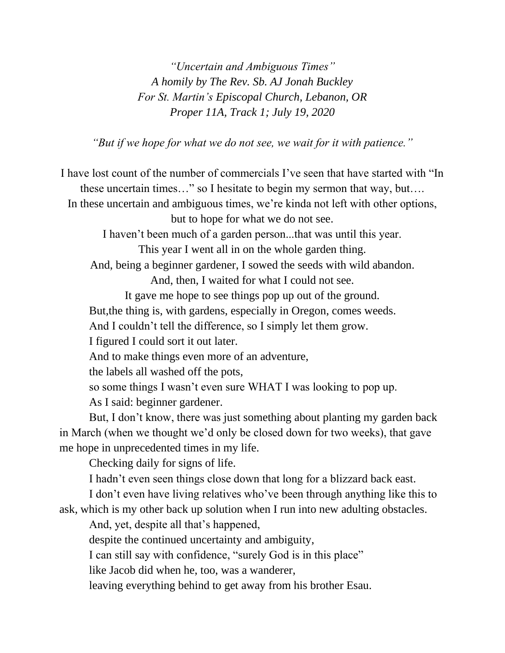*"Uncertain and Ambiguous Times" A homily by The Rev. Sb. AJ Jonah Buckley For St. Martin's Episcopal Church, Lebanon, OR Proper 11A, Track 1; July 19, 2020*

*"But if we hope for what we do not see, we wait for it with patience."*

I have lost count of the number of commercials I've seen that have started with "In these uncertain times…" so I hesitate to begin my sermon that way, but…. In these uncertain and ambiguous times, we're kinda not left with other options, but to hope for what we do not see. I haven't been much of a garden person...that was until this year. This year I went all in on the whole garden thing. And, being a beginner gardener, I sowed the seeds with wild abandon. And, then, I waited for what I could not see. It gave me hope to see things pop up out of the ground. But,the thing is, with gardens, especially in Oregon, comes weeds. And I couldn't tell the difference, so I simply let them grow. I figured I could sort it out later. And to make things even more of an adventure, the labels all washed off the pots, so some things I wasn't even sure WHAT I was looking to pop up. As I said: beginner gardener. But, I don't know, there was just something about planting my garden back in March (when we thought we'd only be closed down for two weeks), that gave me hope in unprecedented times in my life. Checking daily for signs of life. I hadn't even seen things close down that long for a blizzard back east. I don't even have living relatives who've been through anything like this to ask, which is my other back up solution when I run into new adulting obstacles. And, yet, despite all that's happened, despite the continued uncertainty and ambiguity,

I can still say with confidence, "surely God is in this place"

like Jacob did when he, too, was a wanderer,

leaving everything behind to get away from his brother Esau.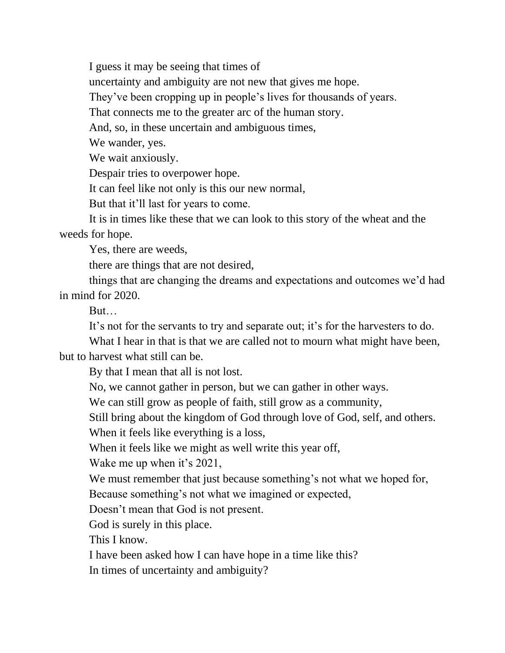I guess it may be seeing that times of

uncertainty and ambiguity are not new that gives me hope.

They've been cropping up in people's lives for thousands of years.

That connects me to the greater arc of the human story.

And, so, in these uncertain and ambiguous times,

We wander, yes.

We wait anxiously.

Despair tries to overpower hope.

It can feel like not only is this our new normal,

But that it'll last for years to come.

It is in times like these that we can look to this story of the wheat and the weeds for hope.

Yes, there are weeds,

there are things that are not desired,

things that are changing the dreams and expectations and outcomes we'd had in mind for 2020.

But…

It's not for the servants to try and separate out; it's for the harvesters to do.

What I hear in that is that we are called not to mourn what might have been, but to harvest what still can be.

By that I mean that all is not lost.

No, we cannot gather in person, but we can gather in other ways.

We can still grow as people of faith, still grow as a community,

Still bring about the kingdom of God through love of God, self, and others.

When it feels like everything is a loss,

When it feels like we might as well write this year off,

Wake me up when it's 2021,

We must remember that just because something's not what we hoped for,

Because something's not what we imagined or expected,

Doesn't mean that God is not present.

God is surely in this place.

This I know.

I have been asked how I can have hope in a time like this?

In times of uncertainty and ambiguity?